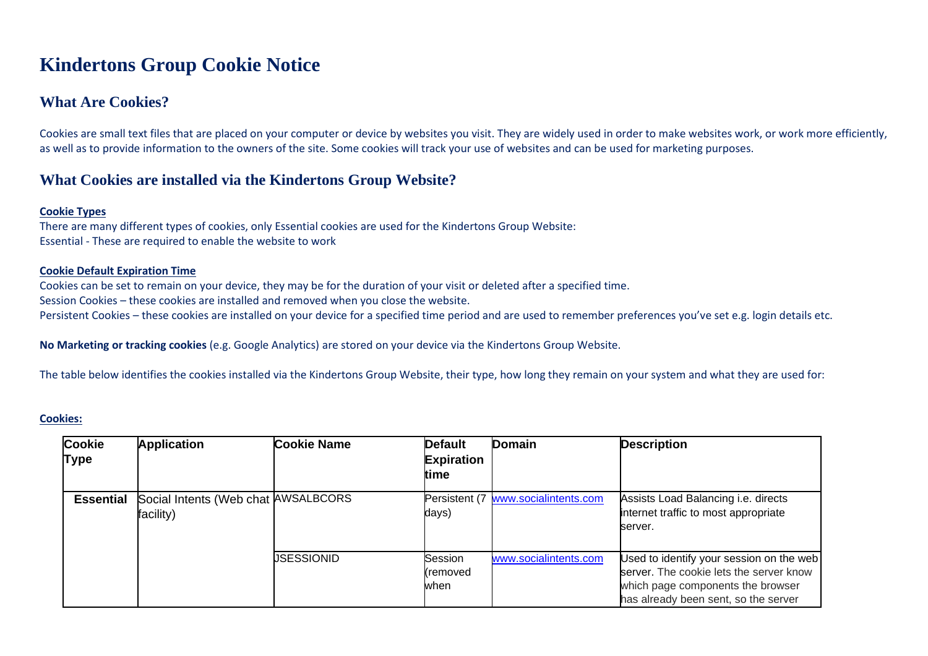## **Kindertons Group Cookie Notice**

## **What Are Cookies?**

Cookies are small text files that are placed on your computer or device by websites you visit. They are widely used in order to make websites work, or work more efficiently, as well as to provide information to the owners of the site. Some cookies will track your use of websites and can be used for marketing purposes.

## **What Cookies are installed via the Kindertons Group Website?**

#### **Cookie Types**

There are many different types of cookies, only Essential cookies are used for the Kindertons Group Website: Essential - These are required to enable the website to work

#### **Cookie Default Expiration Time**

Cookies can be set to remain on your device, they may be for the duration of your visit or deleted after a specified time. Session Cookies – these cookies are installed and removed when you close the website. Persistent Cookies – these cookies are installed on your device for a specified time period and are used to remember preferences you've set e.g. login details etc.

**No Marketing or tracking cookies** (e.g. Google Analytics) are stored on your device via the Kindertons Group Website.

The table below identifies the cookies installed via the Kindertons Group Website, their type, how long they remain on your system and what they are used for:

#### **Cookies:**

| <b>Cookie</b><br>Type | <b>Application</b>                               | <b>Cookie Name</b> | <b>Default</b><br><b>Expiration</b><br>time | Domain                              | <b>Description</b>                                                                                                                                               |
|-----------------------|--------------------------------------------------|--------------------|---------------------------------------------|-------------------------------------|------------------------------------------------------------------------------------------------------------------------------------------------------------------|
| <b>Essential</b>      | Social Intents (Web chat AWSALBCORS<br>facility) |                    | days)                                       | Persistent (7 www.socialintents.com | Assists Load Balancing i.e. directs<br>internet traffic to most appropriate<br>server.                                                                           |
|                       |                                                  | USESSIONID         | Session<br>(removed<br>when                 | www.socialintents.com               | Used to identify your session on the web<br>server. The cookie lets the server know<br>which page components the browser<br>has already been sent, so the server |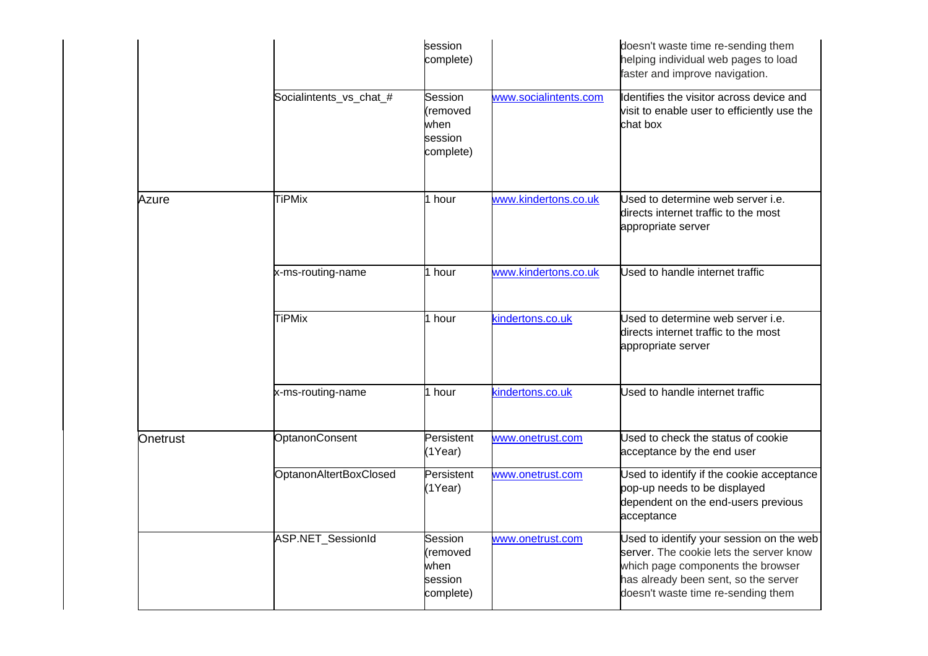|          |                         | session<br>complete)                                |                       | doesn't waste time re-sending them<br>helping individual web pages to load<br>faster and improve navigation.                                                                                           |
|----------|-------------------------|-----------------------------------------------------|-----------------------|--------------------------------------------------------------------------------------------------------------------------------------------------------------------------------------------------------|
|          | Socialintents_vs_chat_# | Session<br>removed<br>when<br>session<br>complete)  | www.socialintents.com | Identifies the visitor across device and<br>visit to enable user to efficiently use the<br>chat box                                                                                                    |
| Azure    | <b>TiPMix</b>           | 1 hour                                              | www.kindertons.co.uk  | Used to determine web server i.e.<br>directs internet traffic to the most<br>appropriate server                                                                                                        |
|          | x-ms-routing-name       | 1 hour                                              | www.kindertons.co.uk  | Used to handle internet traffic                                                                                                                                                                        |
|          | <b>TiPMix</b>           | 1 hour                                              | kindertons.co.uk      | Used to determine web server i.e.<br>directs internet traffic to the most<br>appropriate server                                                                                                        |
|          | x-ms-routing-name       | 1 hour                                              | kindertons.co.uk      | Used to handle internet traffic                                                                                                                                                                        |
| Onetrust | OptanonConsent          | Persistent<br>(1Year)                               | www.onetrust.com      | Used to check the status of cookie<br>acceptance by the end user                                                                                                                                       |
|          | OptanonAltertBoxClosed  | Persistent<br>(1Year)                               | www.onetrust.com      | Used to identify if the cookie acceptance<br>pop-up needs to be displayed<br>dependent on the end-users previous<br>acceptance                                                                         |
|          | ASP.NET_SessionId       | Session<br>(removed<br>when<br>session<br>complete) | www.onetrust.com      | Used to identify your session on the web<br>server. The cookie lets the server know<br>which page components the browser<br>has already been sent, so the server<br>doesn't waste time re-sending them |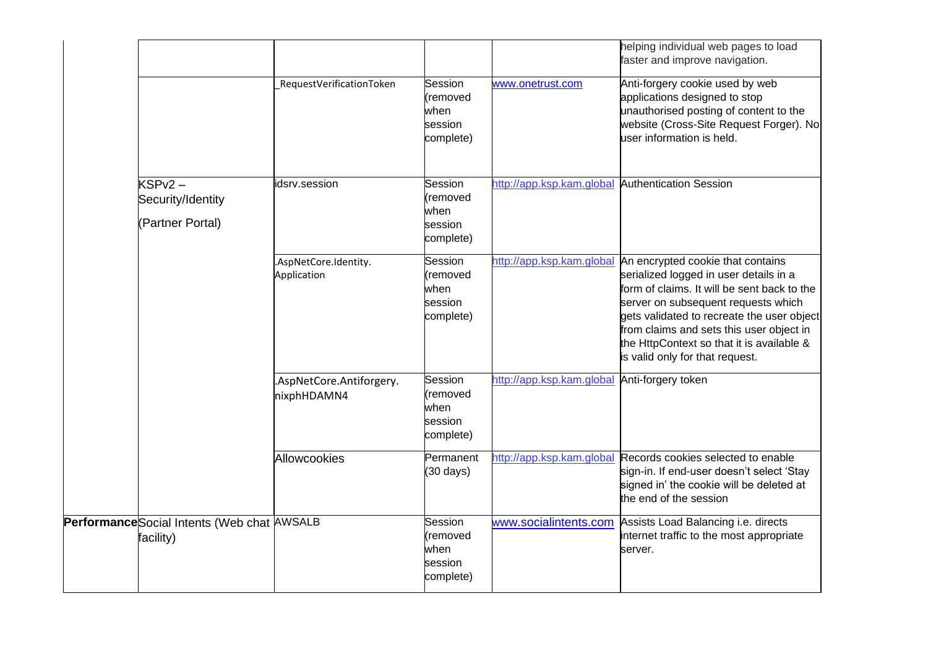|                                                          |                                         |                                                     |                                                  | helping individual web pages to load<br>faster and improve navigation.                                                                                                                                                                                                                                                                      |
|----------------------------------------------------------|-----------------------------------------|-----------------------------------------------------|--------------------------------------------------|---------------------------------------------------------------------------------------------------------------------------------------------------------------------------------------------------------------------------------------------------------------------------------------------------------------------------------------------|
|                                                          | RequestVerificationToken                | Session<br>(removed<br>when<br>session<br>complete) | www.onetrust.com                                 | Anti-forgery cookie used by web<br>applications designed to stop<br>unauthorised posting of content to the<br>website (Cross-Site Request Forger). No<br>user information is held.                                                                                                                                                          |
| $KSPv2 -$<br>Security/Identity<br>(Partner Portal)       | idsrv.session                           | Session<br>(removed<br>when<br>session<br>complete) | http://app.ksp.kam.global Authentication Session |                                                                                                                                                                                                                                                                                                                                             |
|                                                          | .AspNetCore.Identity.<br>Application    | Session<br>(removed<br>when<br>session<br>complete) | http://app.ksp.kam.global                        | An encrypted cookie that contains<br>serialized logged in user details in a<br>form of claims. It will be sent back to the<br>server on subsequent requests which<br>gets validated to recreate the user object<br>from claims and sets this user object in<br>the HttpContext so that it is available &<br>is valid only for that request. |
|                                                          | .AspNetCore.Antiforgery.<br>nixphHDAMN4 | Session<br>(removed<br>when<br>session<br>complete) | http://app.ksp.kam.global                        | Anti-forgery token                                                                                                                                                                                                                                                                                                                          |
|                                                          | Allowcookies                            | Permanent<br>$(30 \text{ days})$                    | http://app.ksp.kam.global                        | Records cookies selected to enable<br>sign-in. If end-user doesn't select 'Stay<br>signed in' the cookie will be deleted at<br>the end of the session                                                                                                                                                                                       |
| Performance Social Intents (Web chat AWSALB<br>facility) |                                         | Session<br>(removed<br>when<br>session<br>complete) | www.socialintents.com                            | Assists Load Balancing i.e. directs<br>internet traffic to the most appropriate<br>server.                                                                                                                                                                                                                                                  |